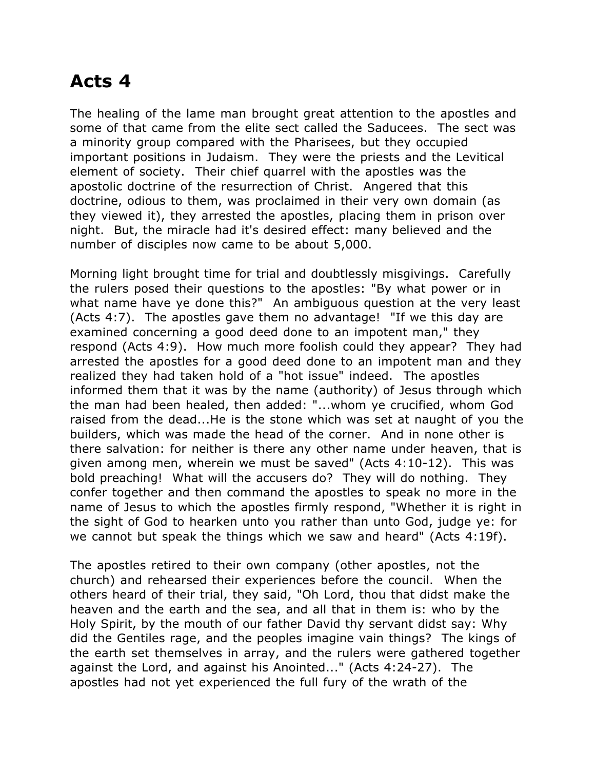## **Acts 4**

The healing of the lame man brought great attention to the apostles and some of that came from the elite sect called the Saducees. The sect was a minority group compared with the Pharisees, but they occupied important positions in Judaism. They were the priests and the Levitical element of society. Their chief quarrel with the apostles was the apostolic doctrine of the resurrection of Christ. Angered that this doctrine, odious to them, was proclaimed in their very own domain (as they viewed it), they arrested the apostles, placing them in prison over night. But, the miracle had it's desired effect: many believed and the number of disciples now came to be about 5,000.

Morning light brought time for trial and doubtlessly misgivings. Carefully the rulers posed their questions to the apostles: "By what power or in what name have ye done this?" An ambiguous question at the very least (Acts 4:7). The apostles gave them no advantage! "If we this day are examined concerning a good deed done to an impotent man," they respond (Acts 4:9). How much more foolish could they appear? They had arrested the apostles for a good deed done to an impotent man and they realized they had taken hold of a "hot issue" indeed. The apostles informed them that it was by the name (authority) of Jesus through which the man had been healed, then added: "...whom ye crucified, whom God raised from the dead...He is the stone which was set at naught of you the builders, which was made the head of the corner. And in none other is there salvation: for neither is there any other name under heaven, that is given among men, wherein we must be saved" (Acts 4:10-12). This was bold preaching! What will the accusers do? They will do nothing. They confer together and then command the apostles to speak no more in the name of Jesus to which the apostles firmly respond, "Whether it is right in the sight of God to hearken unto you rather than unto God, judge ye: for we cannot but speak the things which we saw and heard" (Acts 4:19f).

The apostles retired to their own company (other apostles, not the church) and rehearsed their experiences before the council. When the others heard of their trial, they said, "Oh Lord, thou that didst make the heaven and the earth and the sea, and all that in them is: who by the Holy Spirit, by the mouth of our father David thy servant didst say: Why did the Gentiles rage, and the peoples imagine vain things? The kings of the earth set themselves in array, and the rulers were gathered together against the Lord, and against his Anointed..." (Acts 4:24-27). The apostles had not yet experienced the full fury of the wrath of the